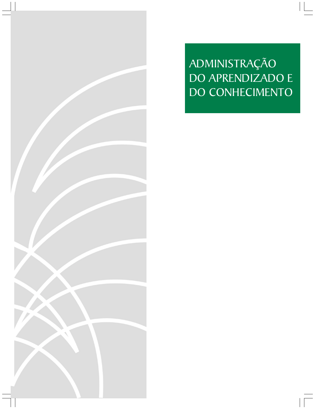28 FACES R. Adm. · Belo Horizonte · v. 8 · n. 3 · p. 29-40 · jul./set. 2009 SHARING EXPERIENCES AS A SOURCE OF LEARNING: COMPARING AN AMERICAN WITH A BRAZILIAN EXECUTIVE MBA PROGRAM

ADMINISTRAÇÃO DO APRENDIZADO E DO CONHECIMENTO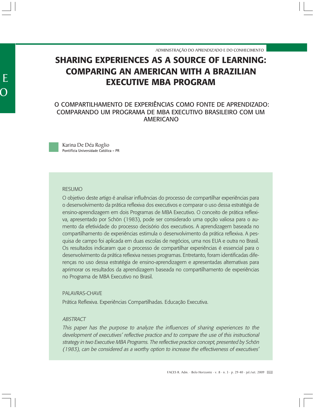ADMINISTRAÇÃO DO APRENDIZADO E DO CONHECIMENTO

KARINA DE DÉA ROGLIO

# **SHARING EXPERIENCES AS A SOURCE OF LEARNING: COMPARING AN AMERICAN WITH A BRAZILIAN EXECUTIVE MBA PROGRAM**

# O COMPARTILHAMENTO DE EXPERIÊNCIAS COMO FONTE DE APRENDIZADO: COMPARANDO UM PROGRAMA DE MBA EXECUTIVO BRASILEIRO COM UM AMERICANO

Karina De Déa Roglio Pontifícia Universidade Católica - PR

## RESUMO

O objetivo deste artigo é analisar influências do processo de compartilhar experiências para o desenvolvimento da prática reflexiva dos executivos e comparar o uso dessa estratégia de ensino-aprendizagem em dois Programas de MBA Executivo. O conceito de prática reflexiva, apresentado por Schön (1983), pode ser considerado uma opção valiosa para o aumento da efetividade do processo decisório dos executivos. A aprendizagem baseada no compartilhamento de experiências estimula o desenvolvimento da prática reflexiva. A pesquisa de campo foi aplicada em duas escolas de negócios, uma nos EUA e outra no Brasil. Os resultados indicaram que o processo de compartilhar experiências é essencial para o desenvolvimento da prática reflexiva nesses programas. Entretanto, foram identificadas diferenças no uso dessa estratégia de ensino-aprendizagem e apresentadas alternativas para aprimorar os resultados da aprendizagem baseada no compartilhamento de experiências no Programa de MBA Executivo no Brasil.

## PALAVRAS-CHAVE

Prática Reflexiva. Experiências Compartilhadas. Educação Executiva.

## **ABSTRACT**

This paper has the purpose to analyze the influences of sharing experiences to the development of executives' reflective practice and to compare the use of this instructional strategy in two Executive MBA Programs. The reflective practice concept, presented by Schön (1983), can be considered as a worthy option to increase the effectiveness of executives'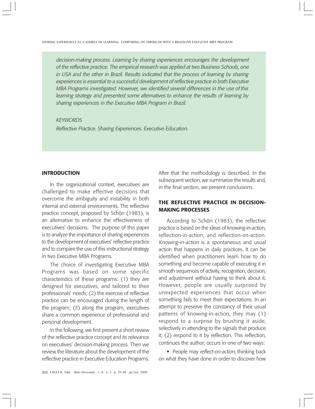decision-making process. Learning by sharing experiences encourages the development of the reflective practice. The empirical research was applied at two Business Schools, one in USA and the other in Brazil. Results indicated that the process of learning by sharing experiences is essential to a successful development of reflective practice in both Executive MBA Programs investigated. However, we identified several differences in the use of this learning strategy and presented some alternatives to enhance the results of learning by sharing experiences in the Executive MBA Program in Brazil.

## **KFYWORDS**

Reflective Practice. Sharing Experiences. Executive Education.

#### **INTRODUCTION**

In the organizational context, executives are challenged to make effective decisions that overcome the ambiguity and instability in both internal and external environments. The reflective practice concept, proposed by Schön (1983), is an alternative to enhance the effectiveness of executives' decisions. The purpose of this paper is to analyze the importance of sharing experiences to the development of executives' reflective practice and to compare the use of this instructional strategy in two Executive MBA Programs.

The choice of investigating Executive MBA Programs was based on some specific characteristics of these programs: (1) they are designed for executives, and tailored to their professionals' needs; (2) the exercise of reflective practice can be encouraged during the length of the program; (3) along the program, executives share a common experience of professional and personal development.

In the following, we first present a short review of the reflective practice concept and its relevance on executives' decision-making process. Then we review the literature about the development of the reflective practice in Executive Education Programs.

After that the methodology is described. In the subsequent section, we summarize the results and, in the final section, we present conclusions.

# **THE REFLECTIVE PRACTICE IN DECISION-MAKING PROCESSES**

According to Schön (1983), the reflective practice is based on the ideas of knowing-in-action, reflection-in-action, and reflection-on-action. Knowing-in-action is a spontaneous and usual action that happens in daily practices. It can be identified when practitioners learn how to do something and become capable of executing it in smooth sequences of activity, recognition, decision, and adjustment without having to think about it. However, people are usually surprised by unexpected experiences that occur when something fails to meet their expectations. In an attempt to preserve the constancy of their usual patterns of knowing-in-action, they may (1) respond to a surprise by brushing it aside, selectively in attending to the signals that produce it; (2) respond to it by reflection. This reflection, continues the author, occurs in one of two ways:

People may reflect-on-action, thinking back on what they have done in order to discover how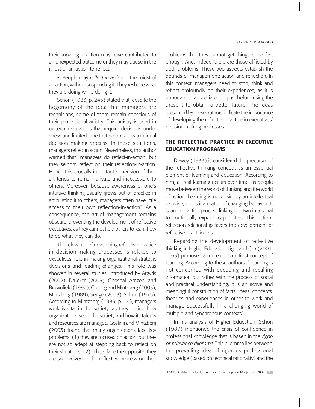their knowing-in-action may have contributed to an unexpected outcome or they may pause in the midst of an action to reflect.

People may reflect-in-action in the midst of an action, without suspending it. They reshape what they are doing while doing it.

Schön (1983, p. 243) stated that, despite the hegemony of the idea that managers are technicians, some of them remain conscious of their professional artistry. This artistry is used in uncertain situations that require decisions under stress and limited time that do not allow a rational decision making process. In these situations, managers reflect in action. Nevertheless, this author warned that "managers do reflect-in-action, but they seldom reflect on their reflection-in-action. Hence this crucially important dimension of their art tends to remain private and inaccessible to others. Moreover, because awareness of one's intuitive thinking usually grows out of practice in articulating it to others, managers often have little access to their own reflection-in-action". As a consequence, the art of management remains obscure, preventing the development of reflective executives, as they cannot help others to learn how to do what they can do.

The relevance of developing reflective practice in decision-making processes is related to executives' role in making organizational strategic decisions and leading changes. This role was showed in several studies, introduced by Argyris (2002), Drucker (2003), Ghoshal, Arnzen, and Brownfield (1992), Gosling and Mintzberg (2003), Mintzberg (1989), Senge (2003), Schön (1975). According to Mintzberg (1989, p. 24), managers work is vital in the society, as they define how organizations serve the society and how its talents and resources are managed. Gosling and Mintzberg (2003) found that many organizations face key problems: (1) they are focused on action, but they are not so adept at stepping back to reflect on their situations; (2) others face the opposite: they are so involved in the reflective process on their problems that they cannot get things done fast enough. And, indeed, there are those afflicted by both problems. These two aspects establish the bounds of management: action and reflection. In this context, managers need to stop, think and reflect profoundly on their experiences, as it is important to appreciate the past before using the present to obtain a better future. The ideas presented by these authors indicate the importance of developing the reflective practice in executives' decision-making processes.

# **THE REFLECTIVE PRACTICE IN EXECUTIVE EDUCATION PROGRAMS**

Dewey (1933) is considered the precursor of the reflective thinking concept as an essential element of learning and education. According to him, all real learning occurs over time, as people move between the world of thinking and the world of action. Learning is never simply an intellectual exercise, nor is it a matter of changing behavior. It is an interactive process linking the two in a spiral to continually expand capabilities. This actionreflection relationship favors the development of reflective practitioners.

Regarding the development of reflective thinking in Higher Education, Light and Cox (2001, p. 63) proposed a more constructivist concept of learning. According to these authors, "Learning is not concerned with decoding and recalling information but rather with the process of social and practical understanding. It is an active and meaningful construction of facts, ideas, concepts, theories and experiences in order to work and manage successfully in a changing world of multiple and synchronous contexts".

In his analysis of Higher Education, Schön (1987) mentioned the crisis of confidence in professional knowledge that is based in the rigoror-relevance dilemma. This dilemma lies between the prevailing idea of rigorous professional knowledge (based on technical rationality) and the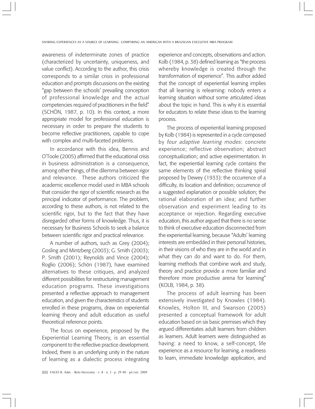awareness of indeterminate zones of practice (characterized by uncertainty, uniqueness, and value conflict). According to the author, this crisis corresponds to a similar crisis in professional education and prompts discussions on the existing "gap between the schools' prevailing conception of professional knowledge and the actual competencies required of practitioners in the field" (SCHÖN, 1987, p. 10). In this context, a more appropriate model for professional education is necessary in order to prepare the students to become reflective practitioners, capable to cope with complex and multi-faceted problems.

In accordance with this idea, Bennis and O'Toole (2005) affirmed that the educational crisis in business administration is a consequence, among other things, of the dilemma between rigor and relevance. These authors criticized the academic excellence model used in MBA schools that consider the rigor of scientific research as the principal indicator of performance. The problem, according to these authors, is not related to the scientific rigor, but to the fact that they have disregarded other forms of knowledge. Thus, it is necessary for Business Schools to seek a balance between scientific rigor and practical relevance.

A number of authors, such as Grey (2004); Gosling and Mintzberg (2003); G. Smith (2003); P. Smith (2001); Reynolds and Vince (2004); Roglio (2006); Schön (1987), have examined alternatives to these critiques, and analyzed different possibilities for restructuring management education programs. These investigations presented a reflective approach to management education, and given the characteristics of students enrolled in these programs, draw on experiential learning theory and adult education as useful theoretical reference points.

The focus on experience, proposed by the Experiential Learning Theory, is an essential component to the reflective practice development. Indeed, there is an underlying unity in the nature of learning as a dialectic process integrating experience and concepts, observations and action. Kolb (1984, p. 38) defined learning as "the process whereby knowledge is created through the transformation of experience". This author added that the concept of experiential learning implies that all learning is relearning: nobody enters a learning situation without some articulated ideas about the topic in hand. This is why it is essential for educators to relate these ideas to the learning process.

The process of experiential learning proposed by Kolb (1984) is represented in a cycle composed by four adaptive learning modes: concrete experience; reflective observation; abstract conceptualization; and active experimentation. In fact, the experiential learning cycle contains the same elements of the reflective thinking spiral proposed by Dewey (1933): the occurrence of a difficulty, its location and definition; occurrence of a suggested explanation or possible solution; the rational elaboration of an idea; and further observation and experiment leading to its acceptance or rejection. Regarding executive education, this author argued that there is no sense to think of executive education disconnected from the experiential learning, because "Adults' learning interests are embedded in their personal histories, in their visions of who they are in the world and in what they can do and want to do. For them, learning methods that combine work and study, theory and practice provide a more familiar and therefore more productive arena for learning" (KOLB, 1984, p. 38).

The process of adult learning has been extensively investigated by Knowles (1984). Knowles, Holton III, and Swanson (2005) presented a conceptual framework for adult education based on six basic premises which they argued differentiates adult learners from children as learners. Adult learners were distinguished as having: a need to know, a self-concept, life experience as a resource for learning, a readiness to learn, immediate knowledge application, and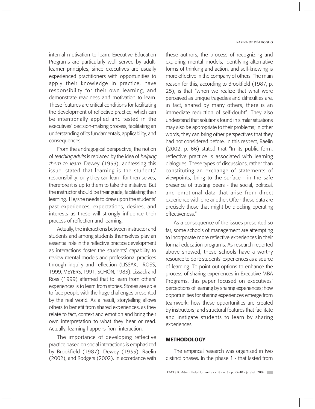internal motivation to learn. Executive Education Programs are particularly well served by adultlearner principles, since executives are usually experienced practitioners with opportunities to apply their knowledge in practice, have responsibility for their own learning, and demonstrate readiness and motivation to learn. These features are critical conditions for facilitating the development of reflective practice, which can be intentionally applied and tested in the executives' decision-making process, facilitating an understanding of its fundamentals, applicability, and consequences.

From the andragogical perspective, the notion of teaching adults is replaced by the idea of helping them to learn. Dewey (1933), addressing this issue, stated that learning is the students' responsibility: only they can learn, for themselves; therefore it is up to them to take the initiative. But the instructor should be their guide, facilitating their learning. He/she needs to draw upon the students' past experiences, expectations, desires, and interests as these will strongly influence their process of reflection and learning.

Actually, the interactions between instructor and students and among students themselves play an essential role in the reflective practice development as interactions foster the students' capability to review mental models and professional practices through inquiry and reflection (LISSAK; ROSS, 1999; MEYERS, 1991; SCHÖN, 1983). Lissack and Ross (1999) affirmed that to learn from others' experiences is to learn from stories. Stories are able to face people with the huge challenges presented by the real world. As a result, storytelling allows others to benefit from shared experiences, as they relate to fact, context and emotion and bring their own interpretation to what they hear or read. Actually, learning happens from interaction.

The importance of developing reflective practice based on social interactions is emphasized by Brookfield (1987), Dewey (1933), Raelin (2002), and Rodgers (2002). In accordance with

#### KARINA DE DÉA ROGLIO

these authors, the process of recognizing and exploring mental models, identifying alternative forms of thinking and action, and self-knowing is more effective in the company of others. The main reason for this, according to Brookfield (1987, p. 25), is that "when we realize that what were perceived as unique tragedies and difficulties are, in fact, shared by many others, there is an immediate reduction of self-doubt". They also understand that solutions found in similar situations may also be appropriate to their problems; in other words, they can bring other perspectives that they had not considered before. In this respect, Raelin (2002, p. 66) stated that "In its public form, reflective practice is associated with learning dialogues. These types of discussions, rather than constituting an exchange of statements of viewpoints, bring to the surface - in the safe presence of trusting peers - the social, political, and emotional data that arise from direct experience with one another. Often these data are precisely those that might be blocking operating effectiveness."

As a consequence of the issues presented so far, some schools of management are attempting to incorporate more reflective experiences in their formal education programs. As research reported above showed, these schools have a worthy resource to do it: students' experiences as a source of learning. To point out options to enhance the process of sharing experiences in Executive MBA Programs, this paper focused on executives' perceptions of learning by sharing experiences; how opportunities for sharing experiences emerge from teamwork; how these opportunities are created by instructors; and structural features that facilitate and instigate students to learn by sharing experiences.

## **METHODOLOGY**

The empirical research was organized in two distinct phases. In the phase 1 - that lasted from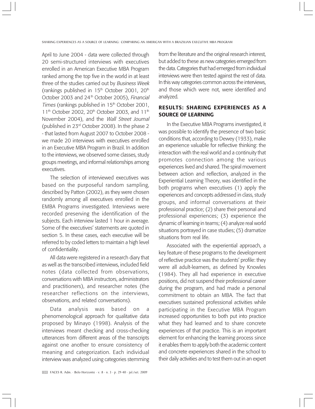April to June 2004 - data were collected through 20 semi-structured interviews with executives enrolled in an American Executive MBA Program ranked among the top five in the world in at least three of the studies carried out by Business Week (rankings published in  $15<sup>th</sup>$  October 2001, 20<sup>th</sup> October 2003 and 24<sup>th</sup> October 2005), Financial Times (rankings published in  $15<sup>th</sup>$  October 2001, 11<sup>th</sup> October 2002, 20<sup>th</sup> October 2003, and 11<sup>th</sup> November 2004), and the Wall Street Journal (published in 23rd October 2008). In the phase 2 - that lasted from August 2007 to October 2008 we made 20 interviews with executives enrolled in an Executive MBA Program in Brazil. In addition to the interviews, we observed some classes, study groups meetings, and informal relationships among executives.

The selection of interviewed executives was based on the purposeful random sampling, described by Patton (2002), as they were chosen randomly among all executives enrolled in the EMBA Programs investigated. Interviews were recorded preserving the identification of the subjects. Each interview lasted 1 hour in average. Some of the executives' statements are quoted in section 5. In these cases, each executive will be referred to by coded letters to maintain a high level of confidentiality.

All data were registered in a research diary that as well as the transcribed interviews, included field notes (data collected from observations, conversations with MBA instructors, administrators and practitioners), and researcher notes (the researcher reflections on the interviews, observations, and related conversations).

Data analysis was based on a phenomenological approach for qualitative data proposed by Minayo (1998). Analysis of the interviews meant checking and cross-checking utterances from different areas of the transcripts against one another to ensure consistency of meaning and categorization. Each individual interview was analyzed using categories stemming

from the literature and the original research interest, but added to these as new categories emerged from the data. Categories that had emerged from individual interviews were then tested against the rest of data. In this way categories common across the interviews, and those which were not, were identified and analyzed.

## **RESULTS: SHARING EXPERIENCES AS A SOURCE OF LEARNING**

In the Executive MBA Programs investigated, it was possible to identify the presence of two basic conditions that, according to Dewey (1933), make an experience valuable for reflective thinking: the interaction with the real world and a continuity that promotes connection among the various experiences lived and shared. The spiral movement between action and reflection, analyzed in the Experiential Learning Theory, was identified in the both programs when executives (1) apply the experiences and concepts addressed in class, study groups, and informal conversations at their professional practice; (2) share their personal and professional experiences; (3) experience the dynamic of learning in teams; (4) analyze real world situations portrayed in case studies; (5) dramatize situations from real life.

Associated with the experiential approach, a key feature of these programs to the development of reflective practice was the students' profile: they were all adult-learners, as defined by Knowles (1984). They all had experience in executive positions, did not suspend their professional career during the program, and had made a personal commitment to obtain an MBA. The fact that executives sustained professional activities while participating in the Executive MBA Program increased opportunities to both put into practice what they had learned and to share concrete experiences of that practice. This is an important element for enhancing the learning process since it enables them to apply both the academic content and concrete experiences shared in the school to their daily activities and to test them out in an expert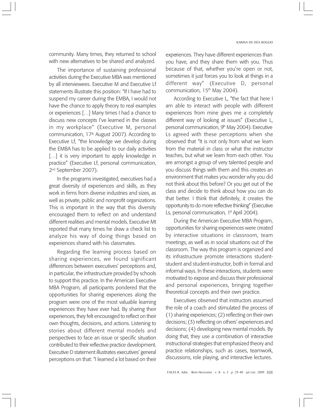community. Many times, they returned to school with new alternatives to be shared and analyzed.

The importance of sustaining professional activities during the Executive MBA was mentioned by all interviewees. Executive M and Executive Lf statements illustrate this position: "If I have had to suspend my career during the EMBA, I would not have the chance to apply theory to real examples or experiences […] Many times I had a chance to discuss new concepts I've learned in the classes in my workplace" (Executive M, personal communication,  $17<sup>th</sup>$  August 2007). According to Executive Lf, "the knowledge we develop during the EMBA has to be applied to our daily activities [...] it is very important to apply knowledge in practice" (Executive Lf, personal communication, 2nd September 2007).

In the programs investigated, executives had a great diversity of experiences and skills, as they work in firms from diverse industries and sizes, as well as private, public and nonprofit organizations. This is important in the way that this diversity encouraged them to reflect on and understand different realities and mental models. Executive Mt reported that many times he draw a check list to analyze his way of doing things based on experiences shared with his classmates.

Regarding the learning process based on sharing experiences, we found significant differences between executives' perceptions and, in particular, the infrastructure provided by schools to support this practice. In the American Executive MBA Program, all participants pondered that the opportunities for sharing experiences along the program were one of the most valuable learning experiences they have ever had. By sharing their experiences, they felt encouraged to reflect on their own thoughts, decisions, and actions. Listening to stories about different mental models and perspectives to face an issue or specific situation contributed to their reflective practice development. Executive D statement illustrates executives' general perceptions on that: "I learned a lot based on their

experiences. They have different experiences than you have, and they share them with you. Thus because of that, whether you're open or not, sometimes it just forces you to look at things in a different way" (Executive D, personal communication, 15<sup>th</sup> May 2004).

According to Executive L, "the fact that here I am able to interact with people with different experiences from mine gives me a completely different way of looking at issues" (Executive L, personal communication, 9<sup>th</sup> May 2004). Executive Ls agreed with these perceptions when she observed that "It is not only from what we learn from the material in class or what the instructor teaches, but what we learn from each other. You are amongst a group of very talented people and you discuss things with them and this creates an environment that makes you wonder why you did not think about this before? Or you get out of the class and decide to think about how you can do that better. I think that definitely, it creates the opportunity to do more reflective thinking" (Executive Ls, personal communication, 1<sup>st</sup> April 2004).

During the American Executive MBA Program, opportunities for sharing experiences were created by interactive situations in classroom, team meetings, as well as in social situations out of the classroom. The way this program is organized and its infrastructure promote interactions studentstudent and student-instructor, both in formal and informal ways. In these interactions, students were motivated to expose and discuss their professional and personal experiences, bringing together theoretical concepts and their own practice.

Executives observed that instructors assumed the role of a coach and stimulated the process of (1) sharing experiences; (2) reflecting on their own decisions; (3) reflecting on others' experiences and decisions; (4) developing new mental models. By doing that, they use a combination of interactive instructional strategies that emphasized theory and practice relationships, such as cases, teamwork, discussions, role playing, and interactive lectures.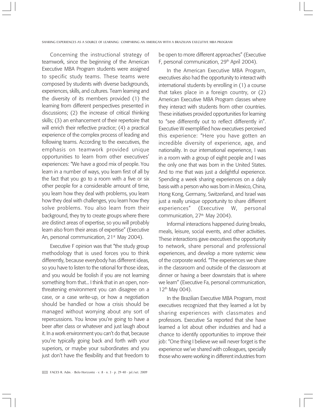Concerning the instructional strategy of teamwork, since the beginning of the American Executive MBA Program students were assigned to specific study teams. These teams were composed by students with diverse backgrounds, experiences, skills, and cultures. Team learning and the diversity of its members provided (1) the learning from different perspectives presented in discussions; (2) the increase of critical thinking skills; (3) an enhancement of their repertoire that will enrich their reflective practice; (4) a practical experience of the complex process of leading and following teams. According to the executives, the emphasis on teamwork provided unique opportunities to learn from other executives' experiences: "We have a good mix of people. You learn in a number of ways, you learn first of all by the fact that you go to a room with a five or six other people for a considerable amount of time, you learn how they deal with problems, you learn how they deal with challenges, you learn how they solve problems. You also learn from their background, they try to create groups where there are distinct areas of expertise, so you will probably learn also from their areas of expertise" (Executive An, personal communication, 21<sup>st</sup> May 2004).

Executive F opinion was that "the study group methodology that is used forces you to think differently, because everybody has different ideas, so you have to listen to the rational for those ideas, and you would be foolish if you are not learning something from that... I think that in an open, nonthreatening environment you can disagree on a case, or a case write-up, or how a negotiation should be handled or how a crisis should be managed without worrying about any sort of repercussions. You know you're going to have a beer after class or whatever and just laugh about it. In a work environment you can't do that, because you're typically going back and forth with your superiors, or maybe your subordinates and you just don't have the flexibility and that freedom to

be open to more different approaches" (Executive F, personal communication, 29<sup>th</sup> April 2004).

In the American Executive MBA Program, executives also had the opportunity to interact with international students by enrolling in (1) a course that takes place in a foreign country, or (2) American Executive MBA Program classes where they interact with students from other countries. These initiatives provided opportunities for learning to "see differently out to reflect differently in". Executive W exemplified how executives perceived this experience: "Here you have gotten an incredible diversity of experience, age, and nationality. In our international experience, I was in a room with a group of eight people and I was the only one that was born in the United States. And to me that was just a delightful experience. Spending a week sharing experiences on a daily basis with a person who was born in Mexico, China, Hong Kong, Germany, Switzerland, and Israel was just a really unique opportunity to share different experiences" (Executive W, personal communication, 27<sup>th</sup> May 2004).

Informal interactions happened during breaks, meals, leisure, social events, and other activities. These interactions gave executives the opportunity to network, share personal and professional experiences, and develop a more systemic view of the corporate world. "The experiences we share in the classroom and outside of the classroom at dinner or having a beer downstairs that is where we learn" (Executive Fa, personal communication,  $12^{th}$  May 004).

In the Brazilian Executive MBA Program, most executives recognized that they learned a lot by sharing experiences with classmates and professors. Executive Sa reported that she have learned a lot about other industries and had a chance to identify opportunities to improve their job: "One thing I believe we will never forget is the experience we've shared with colleagues, specially those who were working in different industries from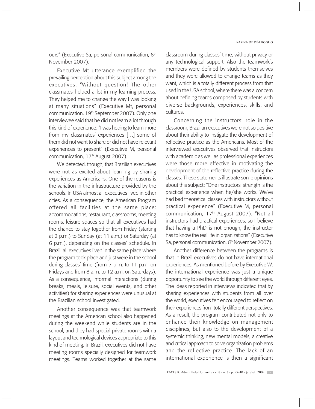ours" (Executive Sa, personal communication, 6<sup>th</sup> November 2007).

Executive Mt utterance exemplified the prevailing perception about this subject among the executives: "Without question! The other classmates helped a lot in my learning process. They helped me to change the way I was looking at many situations" (Executive Mt, personal communication, 19<sup>th</sup> September 2007). Only one interviewee said that he did not learn a lot through this kind of experience: "I was hoping to learn more from my classmates' experiences […] some of them did not want to share or did not have relevant experiences to present" (Executive M, personal communication,  $17<sup>th</sup>$  August 2007).

We detected, though, that Brazilian executives were not as excited about learning by sharing experiences as Americans. One of the reasons is the variation in the infrastructure provided by the schools. In USA almost all executives lived in other cities. As a consequence, the American Program offered all facilities at the same place: accommodations, restaurant, classrooms, meeting rooms, leisure spaces so that all executives had the chance to stay together from Friday (starting at 2 p.m.) to Sunday (at 11 a.m.) or Saturday (at 6 p.m.), depending on the classes' schedule. In Brazil, all executives lived in the same place where the program took place and just were in the school during classes' time (from 7 p.m. to 11 p.m. on Fridays and from 8 a.m. to 12 a.m. on Saturdays). As a consequence, informal interactions (during breaks, meals, leisure, social events, and other activities) for sharing experiences were unusual at the Brazilian school investigated.

Another consequence was that teamwork meetings at the American school also happened during the weekend while students are in the school, and they had special private rooms with a layout and technological devices appropriate to this kind of meeting. In Brazil, executives did not have meeting rooms specially designed for teamwork meetings. Teams worked together at the same

classroom during classes' time, without privacy or any technological support. Also the teamwork's members were defined by students themselves and they were allowed to change teams as they want, which is a totally different process from that used in the USA school, where there was a concern about defining teams composed by students with diverse backgrounds, experiences, skills, and cultures.

Concerning the instructors' role in the classroom, Brazilian executives were not so positive about their ability to instigate the development of reflective practice as the Americans. Most of the interviewed executives observed that instructors with academic as well as professional experiences were those more effective in motivating the development of the reflective practice during the classes. These statements illustrate some opinions about this subject: "One instructors' strength is the practical experience when he/she works. We've had bad theoretical classes with instructors without practical experience" (Executive M, personal communication,  $17<sup>th</sup>$  August 2007). "Not all instructors had practical experiences, so I believe that having a PhD is not enough, the instructor has to know the real life in organizations" (Executive Sa, personal communication, 6<sup>th</sup> November 2007).

Another difference between the programs is that in Brazil executives do not have international experiences. As mentioned before by Executive W, the international experience was just a unique opportunity to see the world through different eyes. The ideas reported in interviews indicated that by sharing experiences with students from all over the world, executives felt encouraged to reflect on their experiences from totally different perspectives. As a result, the program contributed not only to enhance their knowledge on management disciplines, but also to the development of a systemic thinking, new mental models, a creative and critical approach to solve organization problems and the reflective practice. The lack of an international experience is then a significant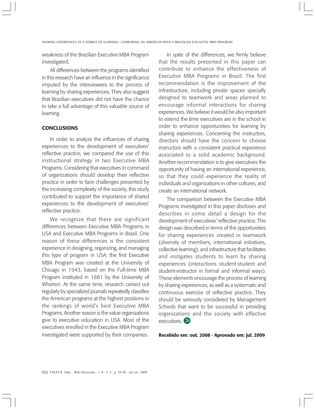weakness of the Brazilian Executive MBA Program investigated.

All differences between the programs identified in this research have an influence in the significance imputed by the interviewees to the process of learning by sharing experiences. They also suggest that Brazilian executives did not have the chance to take a full advantage of this valuable source of learning.

## **CONCLUSIONS**

In order to analyze the influences of sharing experiences to the development of executives' reflective practice, we compared the use of this instructional strategy in two Executive MBA Programs. Considering that executives in command of organizations should develop their reflective practice in order to face challenges presented by the increasing complexity of the society, this study contributed to support the importance of shared experiences to the development of executives' reflective practice.

We recognize that there are significant differences between Executive MBA Programs in USA and Executive MBA Programs in Brazil. One reason of these differences is the consistent experience in designing, organizing, and managing this type of program in USA: the first Executive MBA Program was created at the University of Chicago in 1943, based on the Full-time MBA Program instituted in 1881 by the University of Wharton. At the same time, research carried out regularly by specialized journals repeatedly classifies the American programs at the highest positions in the rankings of world's best Executive MBA Programs. Another reason is the value organizations give to executive education in USA. Most of the executives enrolled in the Executive MBA Program investigated were supported by their companies.

In spite of the differences, we firmly believe that the results presented in this paper can contribute to enhance the effectiveness of Executive MBA Programs in Brazil. The first recommendation is the improvement of the infrastructure, including private spaces specially designed to teamwork and areas planned to encourage informal interactions for sharing experiences. We believe it would be also important to extend the time executives are in the school in order to enhance opportunities for learning by sharing experiences. Concerning the instructors, directors should have the concern to choose instructors with a consistent practical experience associated to a solid academic background. Another recommendation is to give executives the opportunity of having an international experience, so that they could experience the reality of individuals and organizations in other cultures, and create an international network.

The comparison between the Executive MBA Programs investigated in this paper discloses and describes in some detail a design for the development of executives' reflective practice. This design was described in terms of the opportunities for sharing experiences created in teamwork (diversity of members, international initiatives, collective learning); and infrastructure that facilitates and instigates students to learn by sharing experiences (interactions student-student and student-instructor in formal and informal ways). These elements encourage the process of learning by sharing experiences, as well as a systematic and continuous exercise of reflective practice. They should be seriously considered by Management Schools that want to be successful in providing organizations and the society with effective executives. **>**

#### **Recebido em: out. 2008 · Aprovado em: jul. 2009**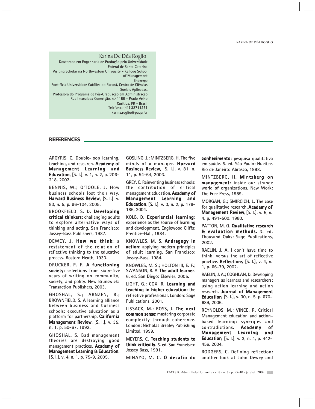KARINA DE DÉA ROGLIO

Karina De Déa Roglio Doutorado em Engenharia de Produção pela Universidade Federal de Santa Catarina Visiting Scholar na Northwestern University - Kellogg School of Management Endereço Pontifícia Universidade Católica do Paraná, Centro de Ciências Sociais Aplicadas. Professora do Programa de Pós-Graduação em Administração Rua Imaculada Conceição, n.º 1155 - Prado Velho Curitiba, PR - Brasil Telefone: (41) 32711261 karina.roglio@pucpr.br

#### **REFERENCES**

ARGYRIS, C. Double-loop learning, teaching, and research. Academy of Management Learning and Education, [S. I.], v. 1, n. 2, p. 206-218, 2002.

BENNIS, W.; O'TOOLE, J. How business schools lost their way. Harvard Business Review,  $[S. 1.]$ , v. 83, n. 5, p. 96-104, 2005.

BROOKFIELD, S. D. Developing critical thinkers: challenging adults to explore alternative ways of thinking and acting. San Francisco: Jossey-Bass Publishers, 1987.

DEWEY, J. How we think: a restatement of the relation of reflective thinking to the educative process. Boston: Heath, 1933.

DRUCKER, P. F. A functioning society: selections from sixty-five years of writing on community, society, and polity. New Brunswick: Transaction Publishers, 2003.

GHOSHAL, S.; ARNZEN, B.; BROWNFIELD, S. A learning alliance between business and business schools: executive education as a platform for partnership. California Management Review, [S. l.], v. 35, n. 1, p. 50-67, 1992.

GHOSHAL, S. Bad management theories are destroying good management practices. Academy of Management Learning & Education, [S. l.], v. 4, n. 1, p. 75-9, 2005.

GOSLING, J.; MINTZBERG, H. The five minds of a manager. Harvard Business Review, [S. l.], v. 81, n. 11, p. 54-64, 2003.

GREY, C. Reinventing business schools: the contribution of critical management education. Academy of Management Learning and Education, [S. l.], v. 3, n. 2, p. 178-186, 2004.

KOLB, D. Experiential learning: experience as the source of learning and development. Englewood Cliffs: Prentice-Hall, 1984.

KNOWLES, M. S. Andragogy in action: applying modern principles of adult learning. San Francisco: Jossey-Bass, 1984.

KNOWLES, M. S.; HOLTON III, E. F.; SWANSON, R. A The adult learner. 6. ed. San Diego: Elsevier, 2005.

LIGHT, G.; COX, R. Learning and teaching in higher education: the reflective professional. London: Sage Publications, 2001.

LISSACK, M.; ROSS, J. The next common sense: mastering corporate complexity through coherence. London: Nicholas Brealey Publishing Limited, 1999.

MEYERS, C. Teaching students to think critically. 5. ed. San Francisco: Jossey Bass, 1991.

MINAYO, M. C. O desafio do

conhecimento: pesquisa qualitativa em saúde. 5. ed. São Paulo: Hucitec. Rio de Janeiro: Abrasco, 1998.

MINTZBERG, H. Mintzberg on management: inside our strange world of organizations. New Work: The Free Press, 1989.

MORGAN, G.; SMIRCICH, L. The case for qualitative research. **Academy of** Management Review, [S. l.], v. 5, n. 4, p. 491-500, 1980.

PATTON, M. Q. Qualitative research Et evaluation methods. 3. ed. Thousand Oaks: Sage Publications, 2002.

RAELIN, J. A. I don't have time to think! versus the art of reflective practice. Reflections,  $[S. 1.]$ , v. 4, n. 1, p. 66-79, 2002.

RAELIN, J. A.; COGHLAN, D. Developing managers as learners and researchers: using action learning and action research. Journal of Management Education, [S. l.], v. 30, n. 5, p. 670-689, 2006.

REYNOLDS, M.; VINCE, R. Critical Management education and actionbased learning: synergies and contradictions. Academy of Management Learning and Education, [S. l.], v. 3, n. 4, p. 442-456, 2004.

RODGERS, C. Defining reflection: another look at John Dewey and